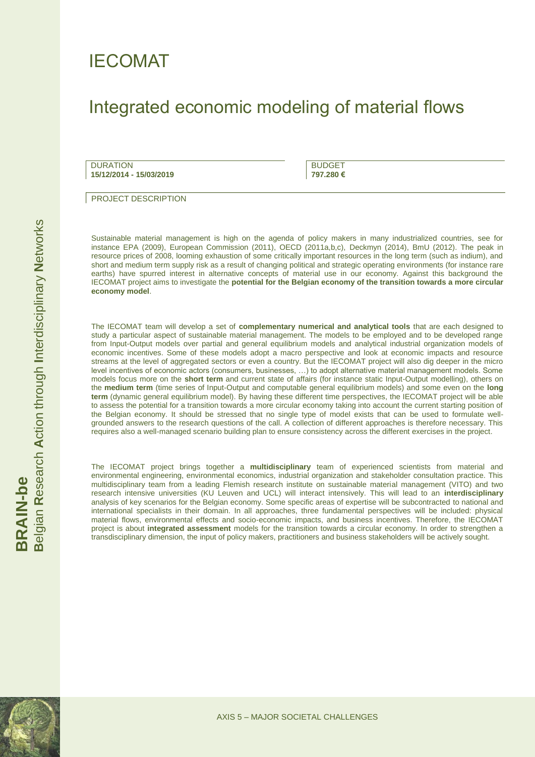## IECOMAT

## Integrated economic modeling of material flows

**DURATION 15/12/2014 - 15/03/2019**

**BUDGET 797.280 €**

PROJECT DESCRIPTION

Sustainable material management is high on the agenda of policy makers in many industrialized countries, see for instance EPA (2009), European Commission (2011), OECD (2011a,b,c), Deckmyn (2014), BmU (2012). The peak in resource prices of 2008, looming exhaustion of some critically important resources in the long term (such as indium), and short and medium term supply risk as a result of changing political and strategic operating environments (for instance rare earths) have spurred interest in alternative concepts of material use in our economy. Against this background the IECOMAT project aims to investigate the **potential for the Belgian economy of the transition towards a more circular economy model**.

The IECOMAT team will develop a set of **complementary numerical and analytical tools** that are each designed to study a particular aspect of sustainable material management. The models to be employed and to be developed range from Input-Output models over partial and general equilibrium models and analytical industrial organization models of economic incentives. Some of these models adopt a macro perspective and look at economic impacts and resource streams at the level of aggregated sectors or even a country. But the IECOMAT project will also dig deeper in the micro level incentives of economic actors (consumers, businesses, …) to adopt alternative material management models. Some models focus more on the **short term** and current state of affairs (for instance static Input-Output modelling), others on the **medium term** (time series of Input-Output and computable general equilibrium models) and some even on the **long term** (dynamic general equilibrium model). By having these different time perspectives, the IECOMAT project will be able to assess the potential for a transition towards a more circular economy taking into account the current starting position of the Belgian economy. It should be stressed that no single type of model exists that can be used to formulate wellgrounded answers to the research questions of the call. A collection of different approaches is therefore necessary. This requires also a well-managed scenario building plan to ensure consistency across the different exercises in the project.

The IECOMAT project brings together a **multidisciplinary** team of experienced scientists from material and environmental engineering, environmental economics, industrial organization and stakeholder consultation practice. This multidisciplinary team from a leading Flemish research institute on sustainable material management (VITO) and two research intensive universities (KU Leuven and UCL) will interact intensively. This will lead to an **interdisciplinary** analysis of key scenarios for the Belgian economy. Some specific areas of expertise will be subcontracted to national and international specialists in their domain. In all approaches, three fundamental perspectives will be included: physical material flows, environmental effects and socio-economic impacts, and business incentives. Therefore, the IECOMAT project is about **integrated assessment** models for the transition towards a circular economy. In order to strengthen a transdisciplinary dimension, the input of policy makers, practitioners and business stakeholders will be actively sought.